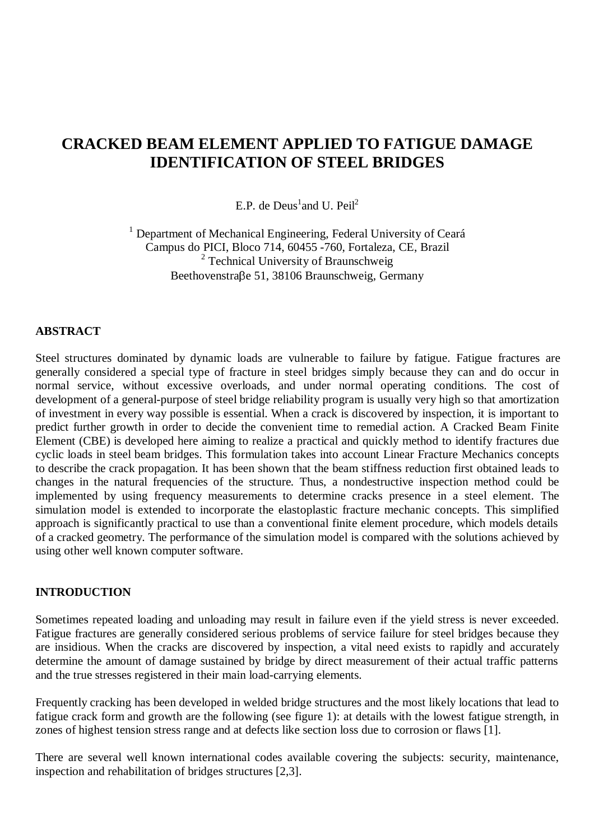# **CRACKED BEAM ELEMENT APPLIED TO FATIGUE DAMAGE IDENTIFICATION OF STEEL BRIDGES**

E.P. de  $Deus<sup>1</sup>$  and U. Peil<sup>2</sup>

<sup>1</sup> Department of Mechanical Engineering, Federal University of Ceará Campus do PICI, Bloco 714, 60455 -760, Fortaleza, CE, Brazil <sup>2</sup> Technical University of Braunschweig Beethovenstraße 51, 38106 Braunschweig, Germany

# **ABSTRACT**

Steel structures dominated by dynamic loads are vulnerable to failure by fatigue. Fatigue fractures are generally considered a special type of fracture in steel bridges simply because they can and do occur in normal service, without excessive overloads, and under normal operating conditions. The cost of development of a general-purpose of steel bridge reliability program is usually very high so that amortization of investment in every way possible is essential. When a crack is discovered by inspection, it is important to predict further growth in order to decide the convenient time to remedial action. A Cracked Beam Finite Element (CBE) is developed here aiming to realize a practical and quickly method to identify fractures due cyclic loads in steel beam bridges. This formulation takes into account Linear Fracture Mechanics concepts to describe the crack propagation. It has been shown that the beam stiffness reduction first obtained leads to changes in the natural frequencies of the structure*.* Thus, a nondestructive inspection method could be implemented by using frequency measurements to determine cracks presence in a steel element. The simulation model is extended to incorporate the elastoplastic fracture mechanic concepts. This simplified approach is significantly practical to use than a conventional finite element procedure, which models details of a cracked geometry. The performance of the simulation model is compared with the solutions achieved by using other well known computer software.

### **INTRODUCTION**

Sometimes repeated loading and unloading may result in failure even if the yield stress is never exceeded. Fatigue fractures are generally considered serious problems of service failure for steel bridges because they are insidious. When the cracks are discovered by inspection, a vital need exists to rapidly and accurately determine the amount of damage sustained by bridge by direct measurement of their actual traffic patterns and the true stresses registered in their main load-carrying elements.

Frequently cracking has been developed in welded bridge structures and the most likely locations that lead to fatigue crack form and growth are the following (see figure 1): at details with the lowest fatigue strength, in zones of highest tension stress range and at defects like section loss due to corrosion or flaws [1].

There are several well known international codes available covering the subjects: security, maintenance, inspection and rehabilitation of bridges structures [2,3].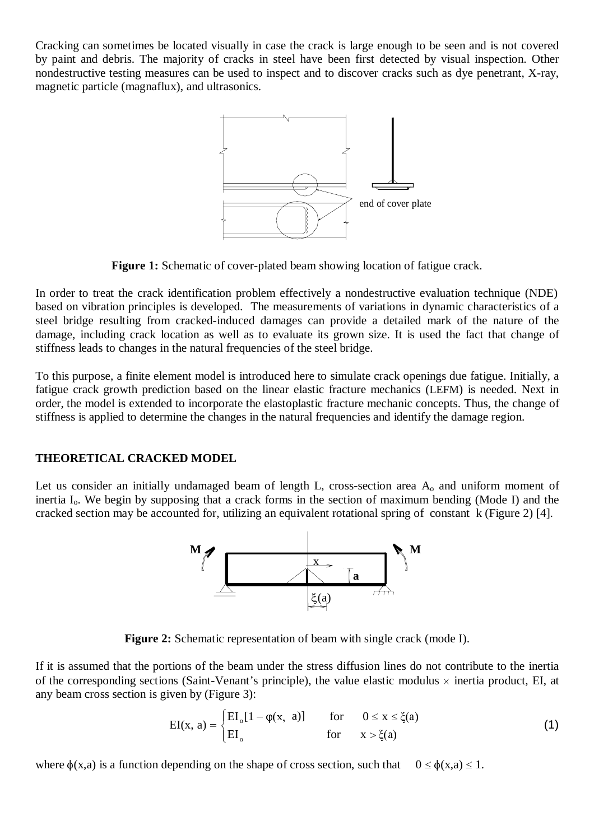Cracking can sometimes be located visually in case the crack is large enough to be seen and is not covered by paint and debris. The majority of cracks in steel have been first detected by visual inspection. Other nondestructive testing measures can be used to inspect and to discover cracks such as dye penetrant, X-ray, magnetic particle (magnaflux), and ultrasonics.



**Figure 1:** Schematic of cover-plated beam showing location of fatigue crack.

In order to treat the crack identification problem effectively a nondestructive evaluation technique (NDE) based on vibration principles is developed. The measurements of variations in dynamic characteristics of a steel bridge resulting from cracked-induced damages can provide a detailed mark of the nature of the damage, including crack location as well as to evaluate its grown size. It is used the fact that change of stiffness leads to changes in the natural frequencies of the steel bridge.

To this purpose, a finite element model is introduced here to simulate crack openings due fatigue. Initially, a fatigue crack growth prediction based on the linear elastic fracture mechanics (LEFM) is needed. Next in order, the model is extended to incorporate the elastoplastic fracture mechanic concepts. Thus, the change of stiffness is applied to determine the changes in the natural frequencies and identify the damage region.

# **THEORETICAL CRACKED MODEL**

Let us consider an initially undamaged beam of length L, cross-section area  $A_0$  and uniform moment of inertia  $I_0$ . We begin by supposing that a crack forms in the section of maximum bending (Mode I) and the cracked section may be accounted for, utilizing an equivalent rotational spring of constant k (Figure 2) [4].



**Figure 2:** Schematic representation of beam with single crack (mode I).

If it is assumed that the portions of the beam under the stress diffusion lines do not contribute to the inertia of the corresponding sections (Saint-Venant's principle), the value elastic modulus  $\times$  inertia product, EI, at any beam cross section is given by (Figure 3):

$$
EI(x, a) = \begin{cases} EI_o[1 - \varphi(x, a)] & \text{for} & 0 \le x \le \xi(a) \\ EI_o & \text{for} & x > \xi(a) \end{cases}
$$
(1)

where  $\phi(x,a)$  is a function depending on the shape of cross section, such that  $0 \le \phi(x,a) \le 1$ .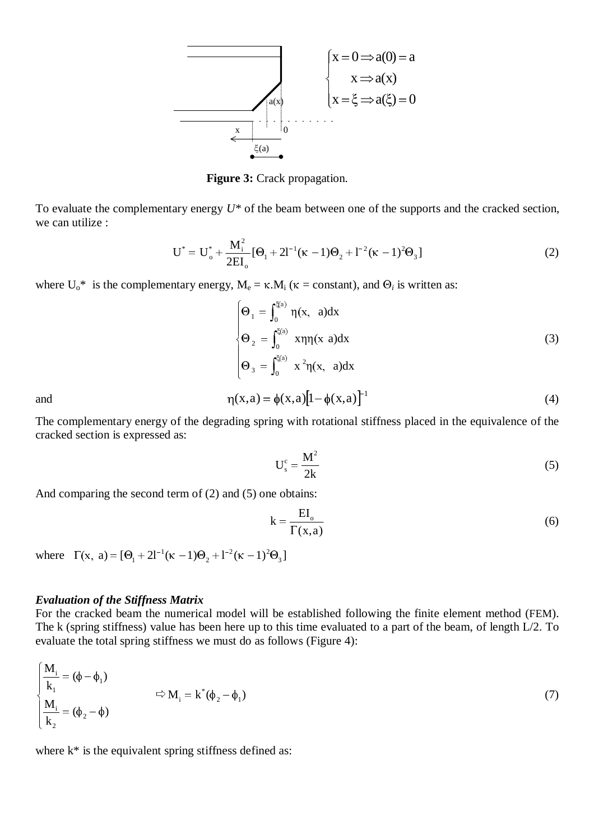

**Figure 3:** Crack propagation.

To evaluate the complementary energy *U\** of the beam between one of the supports and the cracked section, we can utilize : y energy  $U^*$  of the beam between one of the supports and the cracked section,<br>  $^* = U_0^* + \frac{M_i^2}{2} [\Theta_1 + 2I^{-1}(\kappa - 1)\Theta_2 + I^{-2}(\kappa - 1)^2 \Theta_3]$  (2)

$$
U^* = U_o^* + \frac{M_i^2}{2EI_o} [\Theta_1 + 2I^{-1}(\kappa - 1)\Theta_2 + I^{-2}(\kappa - 1)^2 \Theta_3]
$$
 (2)

where  $U_0^*$  is the complementary energy,  $M_e = \kappa.M_i$  ( $\kappa = constant$ ), and  $\Theta_i$  is written as:

$$
\begin{cases}\n\Theta_1 = \int_0^{\xi(a)} \eta(x, a) dx \\
\Theta_2 = \int_0^{\xi(a)} x \eta(x, a) dx \\
\Theta_3 = \int_0^{\xi(a)} x^2 \eta(x, a) dx\n\end{cases}
$$
\n(3)

and  $\eta(x,a) = \phi(x,a) [1 - \phi(x,a)]^{-1}$  (4)

The complementary energy of the degrading spring with rotational stiffness placed in the equivalence of the cracked section is expressed as:

$$
U_s^c = \frac{M^2}{2k} \tag{5}
$$

And comparing the second term of (2) and (5) one obtains:

$$
k = \frac{EI_o}{\Gamma(x, a)}
$$
(6)

where  $\Gamma(x, a) = [\Theta_1 + 2l^{-1}(\kappa - 1)\Theta_2 + l^{-2}(\kappa - 1)^2\Theta_3]$ =  $[\Theta_1 + 2I^{-1}(\kappa - 1)\Theta_2 + I^{-2}(\kappa -$ 

#### *Evaluation of the Stiffness Matrix*

For the cracked beam the numerical model will be established following the finite element method (FEM). The k (spring stiffness) value has been here up to this time evaluated to a part of the beam, of length L/2. To evaluate the total spring stiffness we must do as follows (Figure 4):

$$
\begin{cases}\n\frac{\mathbf{M}_{i}}{\mathbf{k}_{1}} = (\phi - \phi_{1}) \\
\frac{\mathbf{M}_{i}}{\mathbf{k}_{2}} = (\phi_{2} - \phi)\n\end{cases} \Rightarrow \mathbf{M}_{i} = \mathbf{k}^{*}(\phi_{2} - \phi_{1})
$$
\n(7)

where  $k^*$  is the equivalent spring stiffness defined as: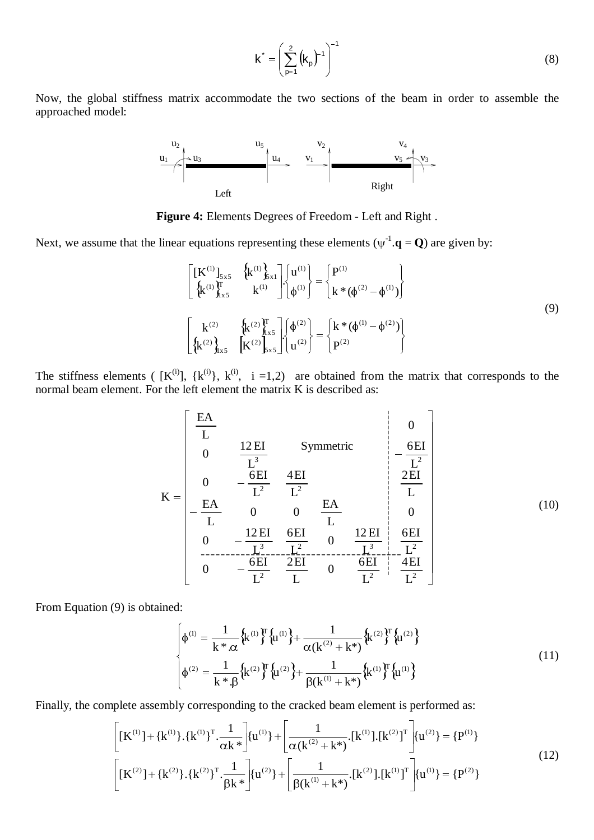$$
\mathbf{k}^* = \left(\sum_{p=1}^2 \left(\mathbf{k}_p\right)^{-1}\right)^{-1} \tag{8}
$$

Now, the global stiffness matrix accommodate the two sections of the beam in order to assemble the approached model:



**Figure 4:** Elements Degrees of Freedom - Left and Right .

Next, we assume that the linear equations representing these elements ( $\psi^{-1} \cdot \mathbf{q} = \mathbf{Q}$ ) are given by:

$$
\begin{bmatrix}\n[K^{(1)}]_{5x5} & \left\{k^{(1)}\right\}_{x15}^{k^{(1)}} \\
\left\{k^{(1)}\right\}_{x5}^{T} & k^{(1)}\n\end{bmatrix}\n\begin{bmatrix}\nu^{(1)} \\
\phi^{(1)}\n\end{bmatrix} =\n\begin{bmatrix}\nP^{(1)} \\
k*(\phi^{(2)} - \phi^{(1)})\n\end{bmatrix}
$$
\n
$$
\begin{bmatrix}\nk^{(2)} \\
\left\{k^{(2)}\right\}_{x5}^{k^{(2)}} \\
\left\{k^{(2)}\right\}_{x5}^{k^{(2)}}\n\end{bmatrix}\n\begin{bmatrix}\n\phi^{(2)} \\
u^{(2)}\n\end{bmatrix} =\n\begin{bmatrix}\nk*(\phi^{(1)} - \phi^{(2)}) \\
P^{(2)}\n\end{bmatrix}
$$
\n(9)

The stiffness elements (  $[K^{(i)}], K^{(i)}, k^{(i)}, i = 1, 2$ ) are obtained from the matrix that corresponds to the normal beam element. For the left element the matrix K is described as:

$$
K = \begin{bmatrix} \frac{EA}{L} & & & & & 0\\ 0 & & \frac{12EI}{L^3} & & \text{Symmetric} & & \frac{6EI}{L^2}\\ 0 & -\frac{6EI}{L^2} & \frac{4EI}{L^2} & & & \frac{2EI}{L}\\ -\frac{EA}{L} & 0 & 0 & \frac{EA}{L} & & 0\\ 0 & -\frac{12EI}{L^3} & \frac{6EI}{L^2} & 0 & \frac{12EI}{L^2} & \frac{6EI}{L^2}\\ 0 & -\frac{6EI}{L^2} & \frac{2EI}{L} & 0 & \frac{6EI}{L^2} & \frac{4EI}{L^2} \end{bmatrix}
$$
(10)

From Equation (9) is obtained:

$$
\begin{cases}\n\phi^{(1)} = \frac{1}{k^* \cdot \alpha} \left\{ k^{(1)} \right\}^T \left\{ u^{(1)} \right\} + \frac{1}{\alpha(k^{(2)} + k^*)} \left\{ k^{(2)} \right\}^T \left\{ u^{(2)} \right\} \\
\phi^{(2)} = \frac{1}{k^* \cdot \beta} \left\{ k^{(2)} \right\}^T \left\{ u^{(2)} \right\} + \frac{1}{\beta(k^{(1)} + k^*)} \left\{ k^{(1)} \right\}^T \left\{ u^{(1)} \right\}\n\end{cases}
$$
\n(11)

Finally, the complete assembly corresponding to the cracked beam element is performed as:

$$
\begin{bmatrix} [\mathbf{K}^{(1)}] + {\mathbf{k}^{(1)}} \cdot {\mathbf{k}^{(1)}}^T \cdot \frac{1}{\alpha \mathbf{k}^*} \end{bmatrix} {\mathbf{u}^{(1)}} + \begin{bmatrix} \frac{1}{\alpha (\mathbf{k}^{(2)} + \mathbf{k}^*)} . [\mathbf{k}^{(1)}] . [\mathbf{k}^{(2)}]^T \end{bmatrix} {\mathbf{u}^{(2)}} = {\mathbf{P}^{(1)}}
$$
\n
$$
\begin{bmatrix} [\mathbf{K}^{(2)}] + {\mathbf{k}^{(2)}} \cdot {\mathbf{k}^{(2)}}^T \cdot \frac{1}{\beta \mathbf{k}^*} \end{bmatrix} {\mathbf{u}^{(2)}} + \begin{bmatrix} \frac{1}{\beta (\mathbf{k}^{(1)} + \mathbf{k}^*)} . [\mathbf{k}^{(2)}] . [\mathbf{k}^{(1)}]^T \end{bmatrix} {\mathbf{u}^{(1)}} = {\mathbf{P}^{(2)}}
$$
\n(12)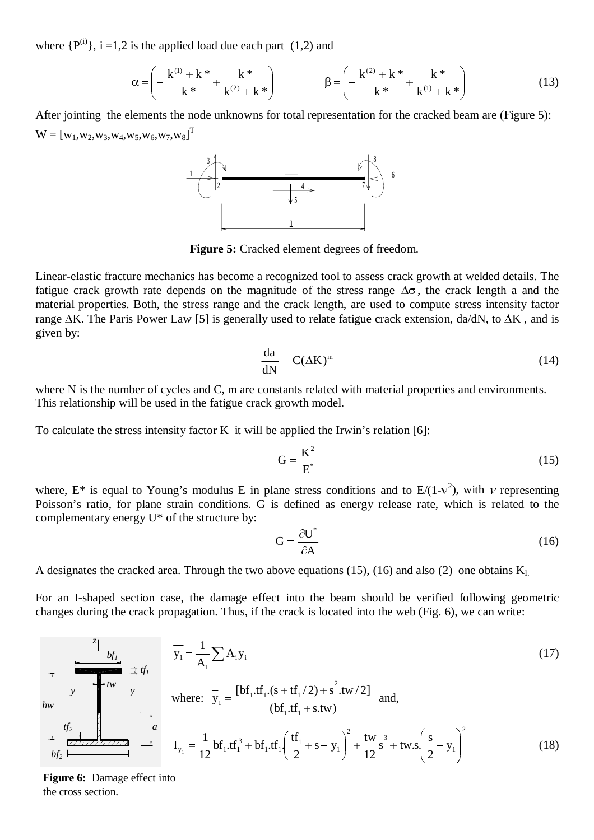where  $\{P^{(i)}\}\$ ,  $i = 1, 2$  is the applied load due each part (1,2) and

$$
\alpha = \left( -\frac{k^{(1)} + k^*}{k^*} + \frac{k^*}{k^{(2)} + k^*} \right) \qquad \beta = \left( -\frac{k^{(2)} + k^*}{k^*} + \frac{k^*}{k^{(1)} + k^*} \right) \tag{13}
$$

After jointing the elements the node unknowns for total representation for the cracked beam are (Figure 5):  $\text{W} = \left[\text{w}_1,\!\text{w}_2,\!\text{w}_3,\!\text{w}_4,\!\text{w}_5,\!\text{w}_6,\!\text{w}_7,\!\text{w}_8\right]^{\text{T}}$ 



**Figure 5:** Cracked element degrees of freedom.

Linear-elastic fracture mechanics has become a recognized tool to assess crack growth at welded details. The fatigue crack growth rate depends on the magnitude of the stress range  $\Delta\sigma$ , the crack length a and the material properties. Both, the stress range and the crack length, are used to compute stress intensity factor range  $\Delta K$ . The Paris Power Law [5] is generally used to relate fatigue crack extension, da/dN, to  $\Delta K$ , and is given by:

$$
\frac{\mathrm{da}}{\mathrm{dN}} = \mathcal{C}(\Delta \mathcal{K})^m \tag{14}
$$

where N is the number of cycles and C, m are constants related with material properties and environments. This relationship will be used in the fatigue crack growth model.

To calculate the stress intensity factor K it will be applied the Irwin's relation [6]:

$$
G = \frac{K^2}{E^*}
$$
 (15)

where, E<sup>\*</sup> is equal to Young's modulus E in plane stress conditions and to E/(1-v<sup>2</sup>), with v representing Poisson's ratio, for plane strain conditions. G is defined as energy release rate, which is related to the complementary energy U\* of the structure by:

$$
G = \frac{\partial U^*}{\partial A} \tag{16}
$$

A designates the cracked area. Through the two above equations (15), (16) and also (2) one obtains  $K<sub>L</sub>$ .

For an I-shaped section case, the damage effect into the beam should be verified following geometric changes during the crack propagation. Thus, if the crack is located into the web (Fig. 6), we can write:

$$
\frac{z_1}{y_1} = \frac{1}{A_1} \sum A_i y_i
$$
\nwhere:  $y_1 = \frac{[bf_1, tf_1, (s + tf_1/2) + s^2, tw/2]}{(bf_1, tf_1 + s, tw/2)} \text{ and,}$   
\n
$$
t_2 = \frac{t_1}{\sum_{i=1}^{n} t_i} \sum_{j=1}^{n} b f_j = \frac{1}{12} b f_1 \cdot tf_1^3 + bf_1 \cdot tf_1 \left(\frac{tf_1}{2} + s - y_1\right)^2 + \frac{tw}{12} s^3 + tw \cdot s \left(\frac{s}{2} - y_1\right)^2
$$
\n(18)

**Figure 6:** Damage effect into the cross section.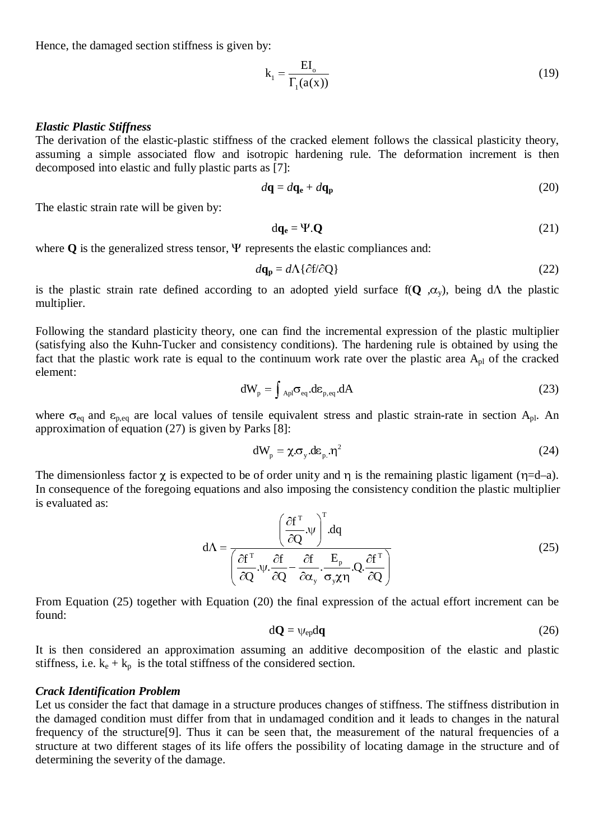Hence, the damaged section stiffness is given by:

$$
k_1 = \frac{EI_o}{\Gamma_1(a(x))}
$$
 (19)

#### *Elastic Plastic Stiffness*

The derivation of the elastic-plastic stiffness of the cracked element follows the classical plasticity theory, assuming a simple associated flow and isotropic hardening rule. The deformation increment is then decomposed into elastic and fully plastic parts as [7]:

$$
d\mathbf{q} = d\mathbf{q_e} + d\mathbf{q_p} \tag{20}
$$

The elastic strain rate will be given by:

$$
dq_e = \Psi \cdot Q \tag{21}
$$

where  $Q$  is the generalized stress tensor,  $\Psi$  represents the elastic compliances and:

$$
d\mathbf{q_p} = d\Lambda \{ \partial f / \partial Q \} \tag{22}
$$

is the plastic strain rate defined according to an adopted yield surface  $f(Q, \alpha_v)$ , being  $d\Lambda$  the plastic multiplier.

Following the standard plasticity theory, one can find the incremental expression of the plastic multiplier (satisfying also the Kuhn-Tucker and consistency conditions). The hardening rule is obtained by using the fact that the plastic work rate is equal to the continuum work rate over the plastic area  $A_{pl}$  of the cracked element:

$$
dW_p = \int_{Apl} \sigma_{eq} . d\varepsilon_{p, eq} . dA \tag{23}
$$

where  $\sigma_{eq}$  and  $\epsilon_{p,eq}$  are local values of tensile equivalent stress and plastic strain-rate in section A<sub>pl</sub>. An approximation of equation (27) is given by Parks [8]:

$$
dW_p = \chi \sigma_y . d\varepsilon_p . \eta^2 \tag{24}
$$

The dimensionless factor  $\chi$  is expected to be of order unity and  $\eta$  is the remaining plastic ligament ( $\eta$ =d–a). In consequence of the foregoing equations and also imposing the consistency condition the plastic multiplier is evaluated as:  $T_{\rm T}$ 

$$
d\Lambda = \frac{\left(\frac{\partial f^{T}}{\partial Q}.\psi\right)^{T} . dq}{\left(\frac{\partial f^{T}}{\partial Q}.\psi.\frac{\partial f}{\partial Q} - \frac{\partial f}{\partial \alpha_{y}}.\frac{E_{p}}{\sigma_{y}\chi\eta}.Q.\frac{\partial f^{T}}{\partial Q}\right)}
$$
(25)

From Equation (25) together with Equation (20) the final expression of the actual effort increment can be found:

$$
d\mathbf{Q} = \psi_{ep} d\mathbf{q}
$$
 (26)

It is then considered an approximation assuming an additive decomposition of the elastic and plastic stiffness, i.e.  $k_e + k_p$  is the total stiffness of the considered section.

#### *Crack Identification Problem*

Let us consider the fact that damage in a structure produces changes of stiffness. The stiffness distribution in the damaged condition must differ from that in undamaged condition and it leads to changes in the natural frequency of the structure[9]. Thus it can be seen that, the measurement of the natural frequencies of a structure at two different stages of its life offers the possibility of locating damage in the structure and of determining the severity of the damage.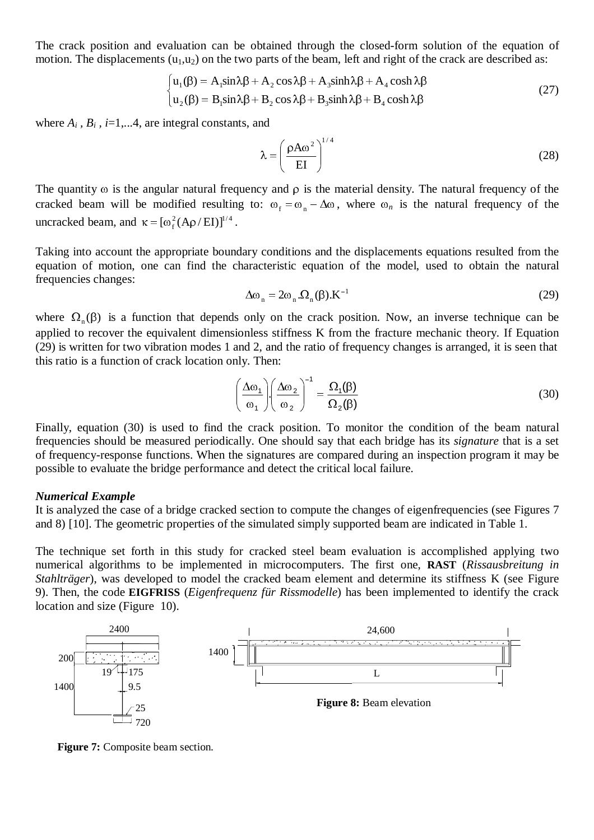The crack position and evaluation can be obtained through the closed-form solution of the equation of motion. The displacements  $(u_1, u_2)$  on the two parts of the beam, left and right of the crack are described as:

$$
\begin{cases}\n\mathbf{u}_1(\beta) = \mathbf{A}_1 \sin \lambda \beta + \mathbf{A}_2 \cos \lambda \beta + \mathbf{A}_3 \sinh \lambda \beta + \mathbf{A}_4 \cosh \lambda \beta \\
\mathbf{u}_2(\beta) = \mathbf{B}_1 \sin \lambda \beta + \mathbf{B}_2 \cos \lambda \beta + \mathbf{B}_3 \sinh \lambda \beta + \mathbf{B}_4 \cosh \lambda \beta\n\end{cases}
$$
\n(27)

where  $A_i$ ,  $B_i$ ,  $i=1,...4$ , are integral constants, and

$$
\lambda = \left(\frac{\rho A \omega^2}{EI}\right)^{1/4} \tag{28}
$$

The quantity  $\omega$  is the angular natural frequency and  $\rho$  is the material density. The natural frequency of the cracked beam will be modified resulting to:  $\omega_f = \omega_n - \Delta \omega$ , where  $\omega_n$  is the natural frequency of the uncracked beam, and  $\kappa = [\omega_f^2 (A\rho/EI)]^{1/4}$ .

Taking into account the appropriate boundary conditions and the displacements equations resulted from the equation of motion, one can find the characteristic equation of the model, used to obtain the natural frequencies changes: and the displacements equations resulted from the aracteristic equation of the model, used to obtain the natural  $\Delta \omega_n = 2\omega_n \Omega_n(\beta) \cdot K^{-1}$  (29)

$$
\Delta\omega_n = 2\omega_n \Omega_n(\beta) \cdot K^{-1} \tag{29}
$$

where  $\Omega_n(\beta)$  is a function that depends only on the crack position. Now, an inverse technique can be applied to recover the equivalent dimensionless stiffness K from the fracture mechanic theory. If Equation (29) is written for two vibration modes 1 and 2, and the ratio of frequency changes is arranged, it is seen that t (29) is written for two vibration modes 1 and 2, and the ratio of frequency changes is arranged, it is seen that this ratio is a function of crack location only. Then:

$$
\left(\frac{\Delta\omega_1}{\omega_1}\right)\left(\frac{\Delta\omega_2}{\omega_2}\right)^{-1} = \frac{\Omega_1(\beta)}{\Omega_2(\beta)}
$$
\n(30)

Finally, equation (30) is used to find the crack position. To monitor the condition of the beam natural frequencies should be measured periodically. One should say that each bridge has its *signature* that is a set of frequency-response functions. When the signatures are compared during an inspection program it may be possible to evaluate the bridge performance and detect the critical local failure.

### *Numerical Example*

It is analyzed the case of a bridge cracked section to compute the changes of eigenfrequencies (see Figures 7 and 8) [10]. The geometric properties of the simulated simply supported beam are indicated in Table 1.

The technique set forth in this study for cracked steel beam evaluation is accomplished applying two numerical algorithms to be implemented in microcomputers. The first one, **RAST** (*Rissausbreitung in Stahlträger*), was developed to model the cracked beam element and determine its stiffness K (see Figure 9). Then, the code **EIGFRISS** (*Eigenfrequenz für Rissmodelle*) has been implemented to identify the crack location and size (Figure 10).



**Figure 7:** Composite beam section.